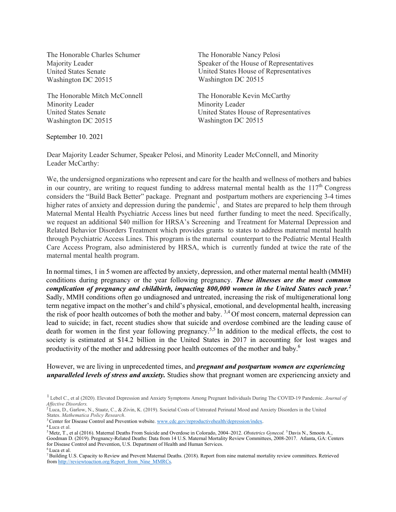The Honorable Charles Schumer Majority Leader United States Senate Washington DC 20515

The Honorable Mitch McConnell Minority Leader United States Senate Washington DC 20515

September 10. 2021

The Honorable Nancy Pelosi Speaker of the House of Representatives United States House of Representatives Washington DC 20515

The Honorable Kevin McCarthy Minority Leader United States House of Representatives Washington DC 20515

Dear Majority Leader Schumer, Speaker Pelosi, and Minority Leader McConnell, and Minority Leader McCarthy:

We, the undersigned organizations who represent and care for the health and wellness of mothers and babies in our country, are writing to request funding to address maternal mental health as the  $117<sup>th</sup>$  Congress considers the "Build Back Better" package. Pregnant and postpartum mothers are experiencing 3-4 times higher rates of anxiety and depression during the pandemic<sup>1</sup>, and States are prepared to help them through Maternal Mental Health Psychiatric Access lines but need further funding to meet the need. Specifically, we request an additional \$40 million for HRSA's Screening and Treatment for Maternal Depression and Related Behavior Disorders Treatment which provides grants to states to address maternal mental health through Psychiatric Access Lines. This program is the maternal counterpart to the Pediatric Mental Health Care Access Program, also administered by HRSA, which is currently funded at twice the rate of the maternal mental health program.

In normal times, 1 in 5 women are affected by anxiety, depression, and other maternal mental health (MMH) conditions during pregnancy or the year following pregnancy. *These illnesses are the most common complication of pregnancy and childbirth, impacting 800,000 women in the United States each year.2* Sadly, MMH conditions often go undiagnosed and untreated, increasing the risk of multigenerational long term negative impact on the mother's and child's physical, emotional, and developmental health, increasing the risk of poor health outcomes of both the mother and baby.<sup>3,4</sup> Of most concern, maternal depression can lead to suicide; in fact, recent studies show that suicide and overdose combined are the leading cause of death for women in the first year following pregnancy.<sup>5,5</sup> In addition to the medical effects, the cost to society is estimated at \$14.2 billion in the United States in 2017 in accounting for lost wages and productivity of the mother and addressing poor health outcomes of the mother and baby.<sup>6</sup>

However, we are living in unprecedented times, and *pregnant and postpartum women are experiencing unparalleled levels of stress and anxiety.* Studies show that pregnant women are experiencing anxiety and

Goodman D. (2019). Pregnancy-Related Deaths: Data from 14 U.S. Maternal Mortality Review Committees, 2008-2017. Atlanta, GA: Centers for Disease Control and Prevention, U.S. Department of Health and Human Services. 6 Luca et al.

<sup>1</sup> Lebel C., et al (2020). Elevated Depression and Anxiety Symptoms Among Pregnant Individuals During The COVID-19 Pandemic. *Journal of Affective Disorders.* 

<sup>2</sup> Luca, D., Garlow, N., Staatz, C., & Zivin, K. (2019). Societal Costs of Untreated Perinatal Mood and Anxiety Disorders in the United States. *Mathematica Policy Research*.<br><sup>3</sup> Center for Disease Control and Prevention website. www.cdc.gov/reproductivehealth/depression/index.<br><sup>4</sup> Luca et al.<br><sup>5</sup> Metz, T., et al (2016). Maternal Deaths From Suicide and Ov

<sup>7</sup> Building U.S. Capacity to Review and Prevent Maternal Deaths. (2018). Report from nine maternal mortality review committees. Retrieved from http://reviewtoaction.org/Report\_from\_Nine\_MMRCs.